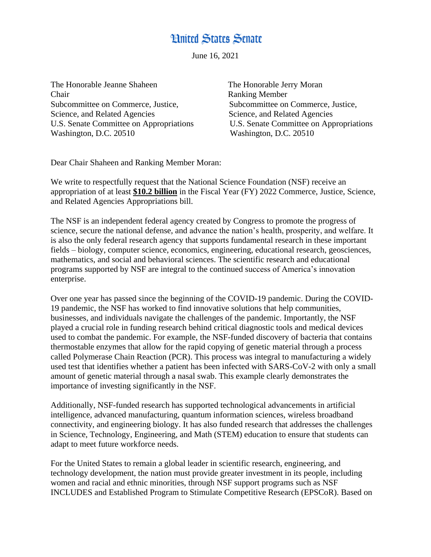## **Hnited States Senate**

June 16, 2021

The Honorable Jeanne Shaheen The Honorable Jerry Moran Chair Ranking Member Subcommittee on Commerce, Justice, Subcommittee on Commerce, Justice, Science, and Related Agencies Science, and Related Agencies Washington, D.C. 20510 Washington, D.C. 20510

U.S. Senate Committee on Appropriations U.S. Senate Committee on Appropriations

Dear Chair Shaheen and Ranking Member Moran:

We write to respectfully request that the National Science Foundation (NSF) receive an appropriation of at least **\$10.2 billion** in the Fiscal Year (FY) 2022 Commerce, Justice, Science, and Related Agencies Appropriations bill.

The NSF is an independent federal agency created by Congress to promote the progress of science, secure the national defense, and advance the nation's health, prosperity, and welfare. It is also the only federal research agency that supports fundamental research in these important fields – biology, computer science, economics, engineering, educational research, geosciences, mathematics, and social and behavioral sciences. The scientific research and educational programs supported by NSF are integral to the continued success of America's innovation enterprise.

Over one year has passed since the beginning of the COVID-19 pandemic. During the COVID-19 pandemic, the NSF has worked to find innovative solutions that help communities, businesses, and individuals navigate the challenges of the pandemic. Importantly, the NSF played a crucial role in funding research behind critical diagnostic tools and medical devices used to combat the pandemic. For example, the NSF-funded discovery of bacteria that contains thermostable enzymes that allow for the rapid copying of genetic material through a process called Polymerase Chain Reaction (PCR). This process was integral to manufacturing a widely used test that identifies whether a patient has been infected with SARS-CoV-2 with only a small amount of genetic material through a nasal swab. This example clearly demonstrates the importance of investing significantly in the NSF.

Additionally, NSF-funded research has supported technological advancements in artificial intelligence, advanced manufacturing, quantum information sciences, wireless broadband connectivity, and engineering biology. It has also funded research that addresses the challenges in Science, Technology, Engineering, and Math (STEM) education to ensure that students can adapt to meet future workforce needs.

For the United States to remain a global leader in scientific research, engineering, and technology development, the nation must provide greater investment in its people, including women and racial and ethnic minorities, through NSF support programs such as NSF INCLUDES and Established Program to Stimulate Competitive Research (EPSCoR). Based on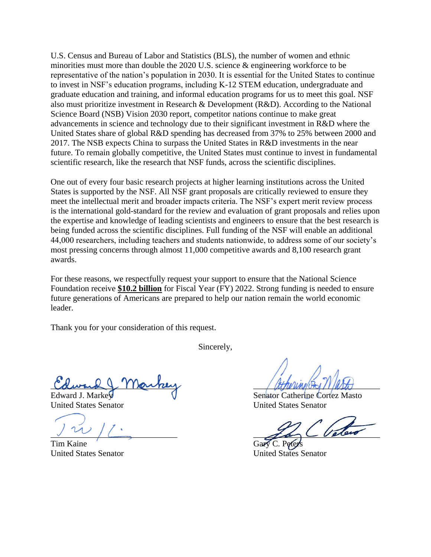U.S. Census and Bureau of Labor and Statistics (BLS), the number of women and ethnic minorities must more than double the 2020 U.S. science & engineering workforce to be representative of the nation's population in 2030. It is essential for the United States to continue to invest in NSF's education programs, including K-12 STEM education, undergraduate and graduate education and training, and informal education programs for us to meet this goal. NSF also must prioritize investment in Research & Development (R&D). According to the National Science Board (NSB) Vision 2030 report, competitor nations continue to make great advancements in science and technology due to their significant investment in R&D where the United States share of global R&D spending has decreased from 37% to 25% between 2000 and 2017. The NSB expects China to surpass the United States in R&D investments in the near future. To remain globally competitive, the United States must continue to invest in fundamental scientific research, like the research that NSF funds, across the scientific disciplines.

One out of every four basic research projects at higher learning institutions across the United States is supported by the NSF. All NSF grant proposals are critically reviewed to ensure they meet the intellectual merit and broader impacts criteria. The NSF's expert merit review process is the international gold-standard for the review and evaluation of grant proposals and relies upon the expertise and knowledge of leading scientists and engineers to ensure that the best research is being funded across the scientific disciplines. Full funding of the NSF will enable an additional 44,000 researchers, including teachers and students nationwide, to address some of our society's most pressing concerns through almost 11,000 competitive awards and 8,100 research grant awards.

For these reasons, we respectfully request your support to ensure that the National Science Foundation receive **\$10.2 billion** for Fiscal Year (FY) 2022. Strong funding is needed to ensure future generations of Americans are prepared to help our nation remain the world economic leader.

Thank you for your consideration of this request.

Sincerely,

Columna (Mankey And Hitterway)

Tim Kaine Gary C. Peters

Edward J. Markey **Senator Catherine Cortez Masto** United States Senator United States Senator

 $\frac{1}{\sqrt{2}}$ 

United States Senator United States Senator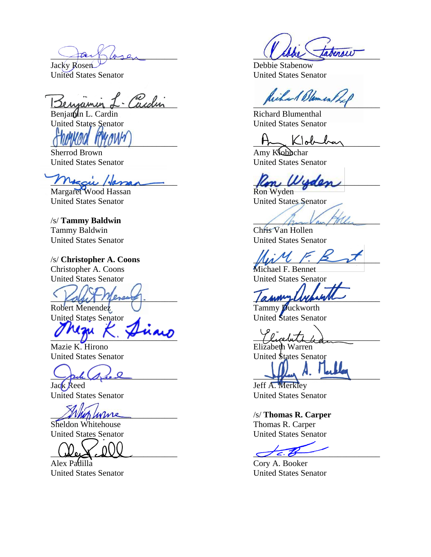$\frac{1}{2}$  and  $\frac{1}{2}$  are  $\frac{1}{2}$ 

\_\_\_\_\_\_\_\_\_\_\_\_\_\_\_\_\_\_\_\_\_\_\_\_\_\_\_\_\_\_ \_\_\_\_\_\_\_\_\_\_\_\_\_\_\_\_\_\_\_\_\_\_\_\_\_\_\_\_\_\_

Sherrod Brown Amy Klobuchar

 $M_{\text{V}}$   $M_{\text{V}}$   $M_{\text{V}}$   $M_{\text{V}}$   $M_{\text{V}}$   $M_{\text{V}}$ 

Margaret Wood Hassan Ron Wyden United States Senator United States Senator

/s/ **Tammy Baldwin** Tammy Baldwin Chris Van Hollen United States Senator United States Senator

/s/ **Christopher A. Coons** \_\_\_\_\_\_\_\_\_\_\_\_\_\_\_\_\_\_\_\_\_\_\_\_\_\_\_\_\_\_ Christopher A. Coons Michael F. Bennet

Kalut Mercury. among and the most control of

United States Senator 1996 and United States Senator

Mazie K. Hirono Elizabeth Warren

Jack Reed Jeff A. Merkley

\_\_\_\_\_\_\_\_\_\_\_\_\_\_\_\_\_\_\_\_\_\_\_\_\_\_\_\_\_\_ \_\_\_\_\_\_\_\_\_\_\_\_\_\_\_\_\_\_\_\_\_\_\_\_\_\_\_\_\_\_

Alex Padilla Cory A. Booker

Jacky Rosen United States Senator United States Senator

Cardin Richard Blemen

Benjamin L. Cardin Richard Blumenthal United States Senator United States Senator

United States Senator United States Senator

United States Senator United States Senator

Robert Menendez V Tammy Duckworth

 $\gamma_{\text{leadrit}}$ 

United States Senator United States Senator

 $\frac{1}{\sqrt{2\pi}}$  and  $\frac{1}{\sqrt{2\pi}}$  and  $\frac{1}{\sqrt{2\pi}}$  and  $\frac{1}{\sqrt{2\pi}}$  and  $\frac{1}{\sqrt{2\pi}}$ 

United States Senator United States Senator

\_\_\_\_\_\_\_\_\_\_\_\_\_\_\_\_\_\_\_\_\_\_\_\_\_\_\_\_\_\_ /s/ **Thomas R. Carper** Sheldon Whitehouse Thomas R. Carper United States Senator United States Senator

United States Senator United States Senator